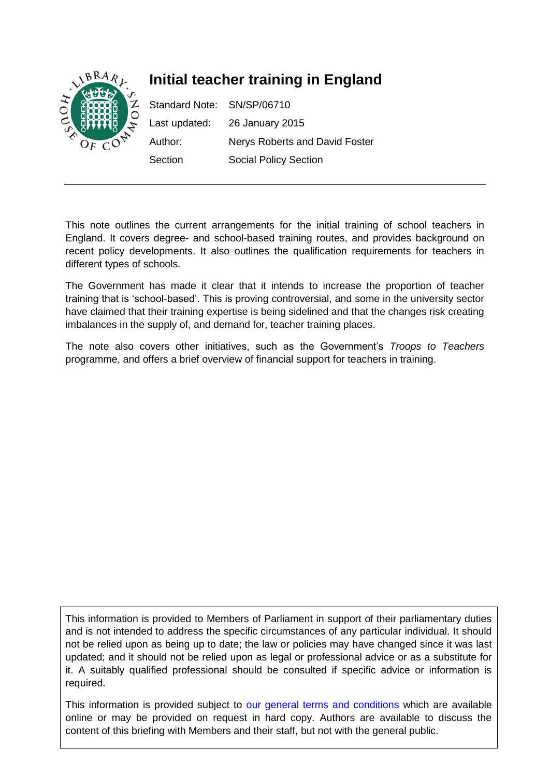

This note outlines the current arrangements for the initial training of school teachers in England. It covers degree- and school-based training routes, and provides background on recent policy developments. It also outlines the qualification requirements for teachers in different types of schools.

The Government has made it clear that it intends to increase the proportion of teacher training that is 'school-based'. This is proving controversial, and some in the university sector have claimed that their training expertise is being sidelined and that the changes risk creating imbalances in the supply of, and demand for, teacher training places.

The note also covers other initiatives, such as the Government's *Troops to Teachers* programme, and offers a brief overview of financial support for teachers in training.

This information is provided to Members of Parliament in support of their parliamentary duties and is not intended to address the specific circumstances of any particular individual. It should not be relied upon as being up to date; the law or policies may have changed since it was last updated; and it should not be relied upon as legal or professional advice or as a substitute for it. A suitably qualified professional should be consulted if specific advice or information is required.

This information is provided subject to [our general terms and conditions](http://www.parliament.uk/site-information/copyright/) which are available online or may be provided on request in hard copy. Authors are available to discuss the content of this briefing with Members and their staff, but not with the general public.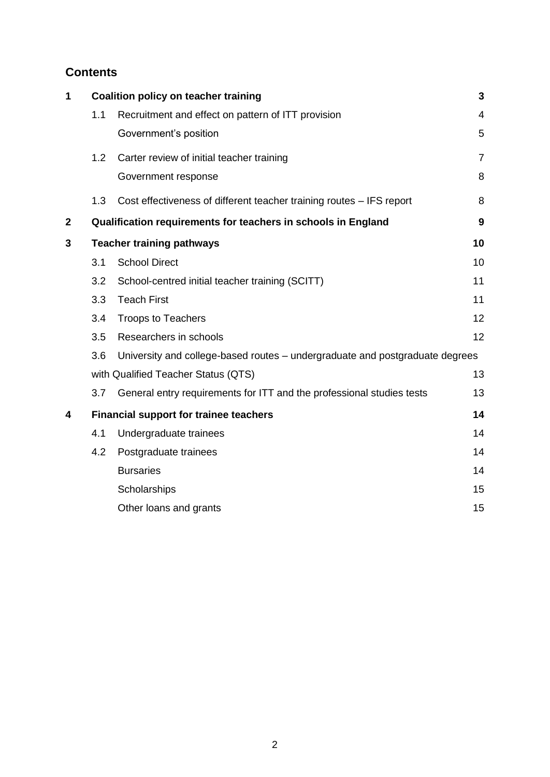# **Contents**

| 1           |                                               | <b>Coalition policy on teacher training</b>                                  | 3              |  |  |  |
|-------------|-----------------------------------------------|------------------------------------------------------------------------------|----------------|--|--|--|
|             | 1.1                                           | Recruitment and effect on pattern of ITT provision                           | 4              |  |  |  |
|             |                                               | Government's position                                                        | 5              |  |  |  |
|             | 1.2                                           | Carter review of initial teacher training                                    | $\overline{7}$ |  |  |  |
|             |                                               | Government response                                                          | 8              |  |  |  |
|             | 1.3                                           | Cost effectiveness of different teacher training routes - IFS report         | 8              |  |  |  |
| $\mathbf 2$ |                                               | Qualification requirements for teachers in schools in England                | 9              |  |  |  |
| 3           | <b>Teacher training pathways</b>              |                                                                              |                |  |  |  |
|             | 3.1                                           | <b>School Direct</b>                                                         | 10             |  |  |  |
|             | 3.2                                           | School-centred initial teacher training (SCITT)                              | 11             |  |  |  |
|             | 3.3                                           | <b>Teach First</b>                                                           | 11             |  |  |  |
|             | 3.4                                           | <b>Troops to Teachers</b>                                                    | 12             |  |  |  |
|             | 3.5                                           | Researchers in schools                                                       | 12             |  |  |  |
|             | 3.6                                           | University and college-based routes - undergraduate and postgraduate degrees |                |  |  |  |
|             |                                               | with Qualified Teacher Status (QTS)                                          |                |  |  |  |
|             | 3.7                                           | General entry requirements for ITT and the professional studies tests        | 13             |  |  |  |
| 4           | <b>Financial support for trainee teachers</b> |                                                                              |                |  |  |  |
|             | 4.1                                           | Undergraduate trainees                                                       | 14             |  |  |  |
|             | 4.2                                           | Postgraduate trainees                                                        | 14             |  |  |  |
|             |                                               | <b>Bursaries</b>                                                             | 14             |  |  |  |
|             |                                               | Scholarships                                                                 | 15             |  |  |  |
|             |                                               | Other loans and grants                                                       | 15             |  |  |  |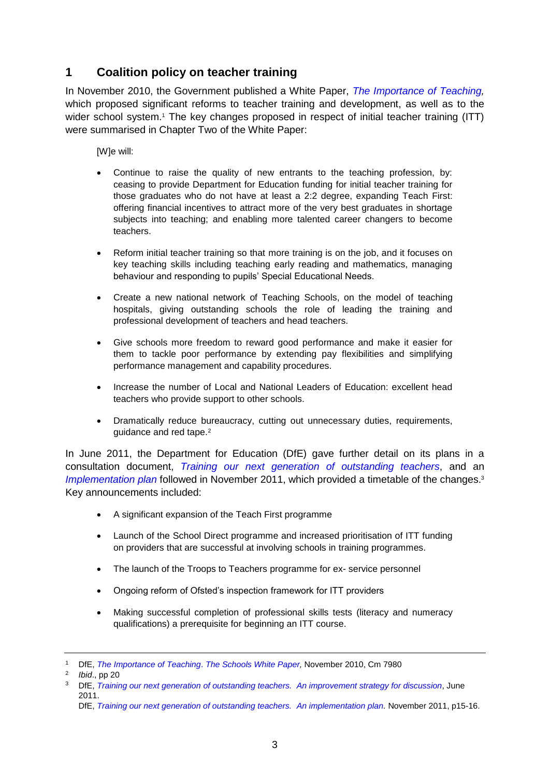# <span id="page-2-0"></span>**1 Coalition policy on teacher training**

In November 2010, the Government published a White Paper, *[The Importance of Teaching,](http://www.education.gov.uk/schools/toolsandinitiatives/schoolswhitepaper/b0068570/the-importance-of-teaching)*  which proposed significant reforms to teacher training and development, as well as to the wider school system.<sup>1</sup> The key changes proposed in respect of initial teacher training (ITT) were summarised in Chapter Two of the White Paper:

[W]e will:

- Continue to raise the quality of new entrants to the teaching profession, by: ceasing to provide Department for Education funding for initial teacher training for those graduates who do not have at least a 2:2 degree, expanding Teach First: offering financial incentives to attract more of the very best graduates in shortage subjects into teaching; and enabling more talented career changers to become teachers.
- Reform initial teacher training so that more training is on the job, and it focuses on key teaching skills including teaching early reading and mathematics, managing behaviour and responding to pupils' Special Educational Needs.
- Create a new national network of Teaching Schools, on the model of teaching hospitals, giving outstanding schools the role of leading the training and professional development of teachers and head teachers.
- Give schools more freedom to reward good performance and make it easier for them to tackle poor performance by extending pay flexibilities and simplifying performance management and capability procedures.
- Increase the number of Local and National Leaders of Education: excellent head teachers who provide support to other schools.
- Dramatically reduce bureaucracy, cutting out unnecessary duties, requirements, guidance and red tape.<sup>2</sup>

In June 2011, the Department for Education (DfE) gave further detail on its plans in a consultation document, *[Training our next generation of outstanding teachers](http://media.education.gov.uk/assets/files/pdf/t/training%20our%20next%20generation%20of%20outstanding%20teachers.pdf)*, and an [Implementation plan](https://www.gov.uk/government/uploads/system/uploads/attachment_data/file/181154/DFE-00083-2011.pdf) followed in November 2011, which provided a timetable of the changes.<sup>3</sup> Key announcements included:

- A significant expansion of the Teach First programme
- Launch of the School Direct programme and increased prioritisation of ITT funding on providers that are successful at involving schools in training programmes.
- The launch of the Troops to Teachers programme for ex- service personnel
- Ongoing reform of Ofsted's inspection framework for ITT providers
- Making successful completion of professional skills tests (literacy and numeracy qualifications) a prerequisite for beginning an ITT course.

<sup>1</sup> DfE, *[The Importance of Teaching](http://www.education.gov.uk/schools/toolsandinitiatives/schoolswhitepaper/b0068570/the-importance-of-teaching)*. *The Schools White Paper,* November 2010, Cm 7980

<sup>2</sup> *Ibid*., pp 20

<sup>3</sup> DfE, *Training our next generation of outstanding teachers. [An improvement strategy for discussion](http://media.education.gov.uk/assets/files/pdf/t/training%20our%20next%20generation%20of%20outstanding%20teachers.pdf)*, June 2011.

DfE, *[Training our next generation of outstanding teachers. An implementation plan.](https://www.gov.uk/government/uploads/system/uploads/attachment_data/file/181154/DFE-00083-2011.pdf) November 2011, p15-16.*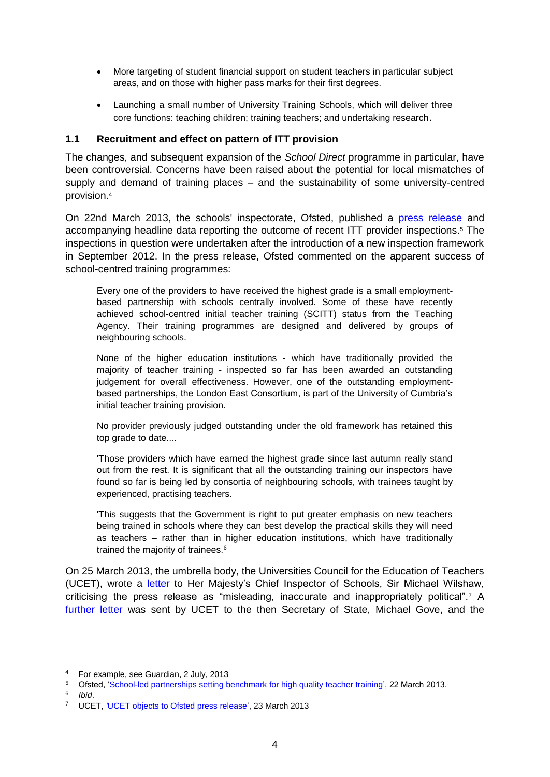- More targeting of student financial support on student teachers in particular subject areas, and on those with higher pass marks for their first degrees.
- Launching a small number of University Training Schools, which will deliver three core functions: teaching children; training teachers; and undertaking research.

#### <span id="page-3-0"></span>**1.1 Recruitment and effect on pattern of ITT provision**

The changes, and subsequent expansion of the *School Direct* programme in particular, have been controversial. Concerns have been raised about the potential for local mismatches of supply and demand of training places – and the sustainability of some university-centred provision.<sup>4</sup>

On 22nd March 2013, the schools' inspectorate, Ofsted, published a [press release](http://www.ofsted.gov.uk/news/school-led-partnerships-setting-benchmark-for-high-quality-teacher-training-0) and accompanying headline data reporting the outcome of recent ITT provider inspections. <sup>5</sup> The inspections in question were undertaken after the introduction of a new inspection framework in September 2012. In the press release, Ofsted commented on the apparent success of school-centred training programmes:

Every one of the providers to have received the highest grade is a small employmentbased partnership with schools centrally involved. Some of these have recently achieved school-centred initial teacher training (SCITT) status from the Teaching Agency. Their training programmes are designed and delivered by groups of neighbouring schools.

None of the higher education institutions - which have traditionally provided the majority of teacher training - inspected so far has been awarded an outstanding judgement for overall effectiveness. However, one of the outstanding employmentbased partnerships, the London East Consortium, is part of the University of Cumbria's initial teacher training provision.

No provider previously judged outstanding under the old framework has retained this top grade to date....

'Those providers which have earned the highest grade since last autumn really stand out from the rest. It is significant that all the outstanding training our inspectors have found so far is being led by consortia of neighbouring schools, with trainees taught by experienced, practising teachers.

'This suggests that the Government is right to put greater emphasis on new teachers being trained in schools where they can best develop the practical skills they will need as teachers – rather than in higher education institutions, which have traditionally trained the majority of trainees.<sup>6</sup>

On 25 March 2013, the umbrella body, the Universities Council for the Education of Teachers (UCET), wrote a [letter](http://www.ucet.ac.uk/4716) to Her Majesty's Chief Inspector of Schools, Sir Michael Wilshaw, criticising the press release as "misleading, inaccurate and inappropriately political".<sup>7</sup> A [further letter](http://www.ucet.ac.uk/4724) was sent by UCET to the then Secretary of State, Michael Gove, and the

6 *Ibid*.

<sup>4</sup> For example, see Guardian, 2 July, 2013

<sup>5</sup> Ofsted, ['School-led partnerships setting benchmark for high quality teacher training',](http://www.ofsted.gov.uk/news/school-led-partnerships-setting-benchmark-for-high-quality-teacher-training-0) 22 March 2013.

<sup>7</sup> UCET, *'*[UCET objects to Ofsted press release',](http://www.ucet.ac.uk/4716) 23 March 2013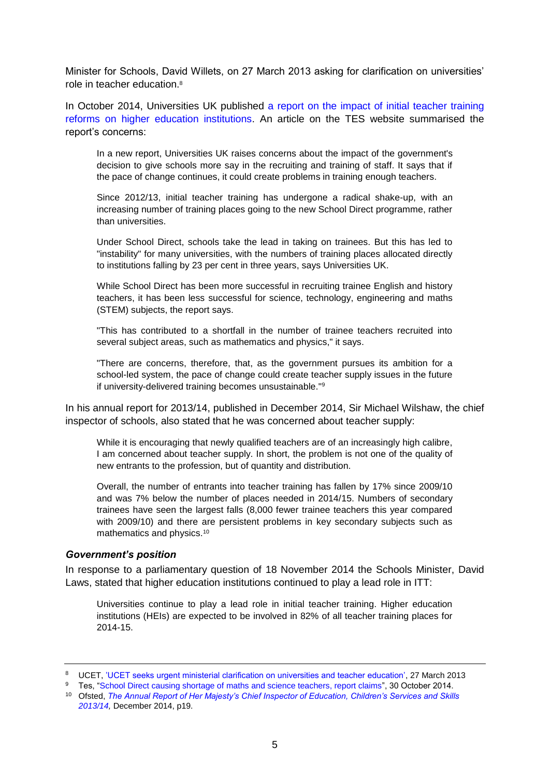Minister for Schools, David Willets, on 27 March 2013 asking for clarification on universities' role in teacher education.<sup>8</sup>

In October 2014, Universities UK published [a report on the impact of initial teacher training](http://www.universitiesuk.ac.uk/highereducation/Documents/2014/ImpactOfITTreformsOnEnglishHEIs.pdf)  [reforms on higher education institutions.](http://www.universitiesuk.ac.uk/highereducation/Documents/2014/ImpactOfITTreformsOnEnglishHEIs.pdf) An article on the TES website summarised the report's concerns:

In a new report, Universities UK raises concerns about the impact of the government's decision to give schools more say in the recruiting and training of staff. It says that if the pace of change continues, it could create problems in training enough teachers.

Since 2012/13, initial teacher training has undergone a radical shake-up, with an increasing number of training places going to the new School Direct programme, rather than universities.

Under School Direct, schools take the lead in taking on trainees. But this has led to "instability" for many universities, with the numbers of training places allocated directly to institutions falling by 23 per cent in three years, says Universities UK.

While School Direct has been more successful in recruiting trainee English and history teachers, it has been less successful for science, technology, engineering and maths (STEM) subjects, the report says.

"This has contributed to a shortfall in the number of trainee teachers recruited into several subject areas, such as mathematics and physics," it says.

"There are concerns, therefore, that, as the government pursues its ambition for a school-led system, the pace of change could create teacher supply issues in the future if university-delivered training becomes unsustainable."<sup>9</sup>

In his annual report for 2013/14, published in December 2014, Sir Michael Wilshaw, the chief inspector of schools, also stated that he was concerned about teacher supply:

While it is encouraging that newly qualified teachers are of an increasingly high calibre, I am concerned about teacher supply. In short, the problem is not one of the quality of new entrants to the profession, but of quantity and distribution.

Overall, the number of entrants into teacher training has fallen by 17% since 2009/10 and was 7% below the number of places needed in 2014/15. Numbers of secondary trainees have seen the largest falls (8,000 fewer trainee teachers this year compared with 2009/10) and there are persistent problems in key secondary subjects such as mathematics and physics.<sup>10</sup>

#### <span id="page-4-0"></span>*Government's position*

In response to a parliamentary question of 18 November 2014 the Schools Minister, David Laws, stated that higher education institutions continued to play a lead role in ITT:

Universities continue to play a lead role in initial teacher training. Higher education institutions (HEIs) are expected to be involved in 82% of all teacher training places for 2014-15.

<sup>8</sup> UCET, ['UCET seeks urgent ministerial clarification on universities and teacher education',](http://www.ucet.ac.uk/4724) 27 March 2013

<sup>&</sup>lt;sup>9</sup> Tes, ["School Direct causing shortage of maths and science teachers, report claims"](https://news.tes.co.uk/b/news/2014/10/29/school-direct-causing-shortage-of-maths-and-science-teachers-report-claims.aspx), 30 October 2014. <sup>10</sup> Ofsted, *[The Annual Report of Her Majesty's Chief Inspector of Education, Children's Services and Skills](https://www.gov.uk/government/uploads/system/uploads/attachment_data/file/384699/Ofsted_Annual_Report_201314_HMCI_commentary.pdf)* 

*[<sup>2013/14,</sup>](https://www.gov.uk/government/uploads/system/uploads/attachment_data/file/384699/Ofsted_Annual_Report_201314_HMCI_commentary.pdf)* December 2014, p19.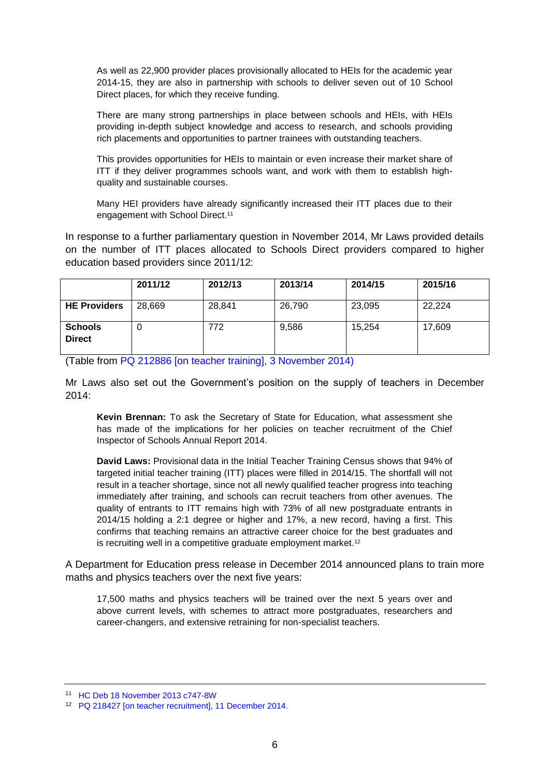As well as 22,900 provider places provisionally allocated to HEIs for the academic year 2014-15, they are also in partnership with schools to deliver seven out of 10 School Direct places, for which they receive funding.

There are many strong partnerships in place between schools and HEIs, with HEIs providing in-depth subject knowledge and access to research, and schools providing rich placements and opportunities to partner trainees with outstanding teachers.

This provides opportunities for HEIs to maintain or even increase their market share of ITT if they deliver programmes schools want, and work with them to establish highquality and sustainable courses.

Many HEI providers have already significantly increased their ITT places due to their engagement with School Direct.<sup>11</sup>

In response to a further parliamentary question in November 2014, Mr Laws provided details on the number of ITT places allocated to Schools Direct providers compared to higher education based providers since 2011/12:

|                                 | 2011/12 | 2012/13 | 2013/14 | 2014/15 | 2015/16 |
|---------------------------------|---------|---------|---------|---------|---------|
| <b>HE Providers</b>             | 28,669  | 28,841  | 26,790  | 23,095  | 22,224  |
| <b>Schools</b><br><b>Direct</b> | O       | 772     | 9,586   | 15.254  | 17,609  |

(Table from [PQ 212886 \[on teacher training\], 3 November 2014\)](http://www.parliament.uk/written-questions-answers-statements/written-question/commons/2014-11-03/212886)

Mr Laws also set out the Government's position on the supply of teachers in December 2014:

**Kevin Brennan:** To ask the Secretary of State for Education, what assessment she has made of the implications for her policies on teacher recruitment of the Chief Inspector of Schools Annual Report 2014.

**David Laws:** Provisional data in the Initial Teacher Training Census shows that 94% of targeted initial teacher training (ITT) places were filled in 2014/15. The shortfall will not result in a teacher shortage, since not all newly qualified teacher progress into teaching immediately after training, and schools can recruit teachers from other avenues. The quality of entrants to ITT remains high with 73% of all new postgraduate entrants in 2014/15 holding a 2:1 degree or higher and 17%, a new record, having a first. This confirms that teaching remains an attractive career choice for the best graduates and is recruiting well in a competitive graduate employment market.<sup>12</sup>

A Department for Education press release in December 2014 announced plans to train more maths and physics teachers over the next five years:

17,500 maths and physics teachers will be trained over the next 5 years over and above current levels, with schemes to attract more postgraduates, researchers and career-changers, and extensive retraining for non-specialist teachers.

<sup>11</sup> [HC Deb 18 November 2013 c747-8W](http://www.publications.parliament.uk/pa/cm201314/cmhansrd/cm131118/text/131118w0004.htm#1311199000433)

<sup>12</sup> [PQ 218427 \[on teacher recruitment\], 11 December 2014.](http://www.parliament.uk/written-questions-answers-statements/written-question/commons/2014-12-11/218427)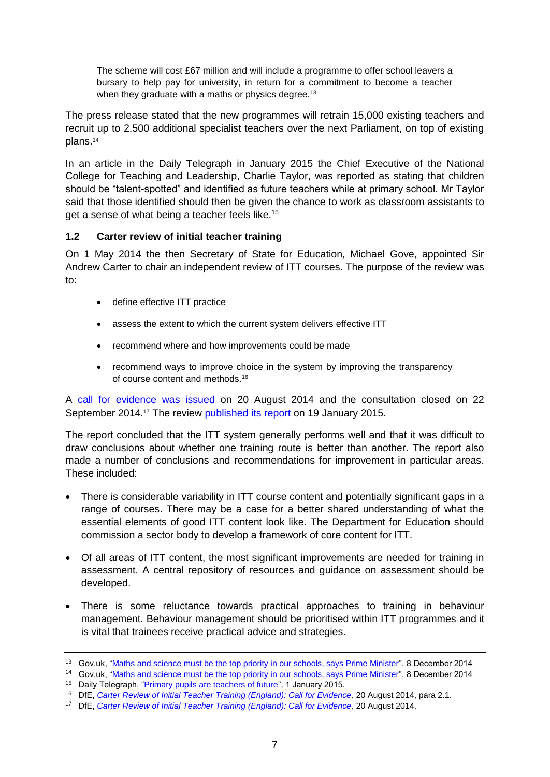The scheme will cost £67 million and will include a programme to offer school leavers a bursary to help pay for university, in return for a commitment to become a teacher when they graduate with a maths or physics degree.<sup>13</sup>

The press release stated that the new programmes will retrain 15,000 existing teachers and recruit up to 2,500 additional specialist teachers over the next Parliament, on top of existing plans.<sup>14</sup>

In an article in the Daily Telegraph in January 2015 the Chief Executive of the National College for Teaching and Leadership, Charlie Taylor, was reported as stating that children should be "talent-spotted" and identified as future teachers while at primary school. Mr Taylor said that those identified should then be given the chance to work as classroom assistants to get a sense of what being a teacher feels like.<sup>15</sup>

## <span id="page-6-0"></span>**1.2 Carter review of initial teacher training**

On 1 May 2014 the then Secretary of State for Education, Michael Gove, appointed Sir Andrew Carter to chair an independent review of ITT courses. The purpose of the review was to:

- define effective ITT practice
- assess the extent to which the current system delivers effective ITT
- recommend where and how improvements could be made
- recommend ways to improve choice in the system by improving the transparency of course content and methods. 16

A [call for evidence was issued](https://www.gov.uk/government/uploads/system/uploads/attachment_data/file/346051/Consultation_Document_-_Carter_Review_Final.pdf) on 20 August 2014 and the consultation closed on 22 September 2014.<sup>17</sup> The review [published its report](https://www.gov.uk/government/uploads/system/uploads/attachment_data/file/396391/Carter_Review_16012015.pdf) on 19 January 2015.

The report concluded that the ITT system generally performs well and that it was difficult to draw conclusions about whether one training route is better than another. The report also made a number of conclusions and recommendations for improvement in particular areas. These included:

- There is considerable variability in ITT course content and potentially significant gaps in a range of courses. There may be a case for a better shared understanding of what the essential elements of good ITT content look like. The Department for Education should commission a sector body to develop a framework of core content for ITT.
- Of all areas of ITT content, the most significant improvements are needed for training in assessment. A central repository of resources and guidance on assessment should be developed.
- There is some reluctance towards practical approaches to training in behaviour management. Behaviour management should be prioritised within ITT programmes and it is vital that trainees receive practical advice and strategies.

<sup>13</sup> Gov.uk, ["Maths and science must be the top priority in our schools, says Prime Minister"](https://www.gov.uk/government/news/maths-and-science-must-be-the-top-priority-in-our-schools-says-prime-minister), 8 December 2014

<sup>14</sup> Gov.uk, ["Maths and science must be the top priority in our schools, says Prime Minister"](https://www.gov.uk/government/news/maths-and-science-must-be-the-top-priority-in-our-schools-says-prime-minister), 8 December 2014 <sup>15</sup> Daily Telegraph, ["Primary pupils are teachers of future"](http://www.telegraph.co.uk/education/11321045/Primary-pupils-are-teachers-of-future.html), 1 January 2015.

<sup>16</sup> DfE, *[Carter Review of Initial Teacher Training \(England\): Call for Evidence,](https://www.gov.uk/government/uploads/system/uploads/attachment_data/file/346051/Consultation_Document_-_Carter_Review_Final.pdf)* 20 August 2014, para 2.1.

<sup>17</sup> DfE, *[Carter Review of Initial Teacher Training \(England\): Call for Evidence,](https://www.gov.uk/government/uploads/system/uploads/attachment_data/file/346051/Consultation_Document_-_Carter_Review_Final.pdf)* 20 August 2014.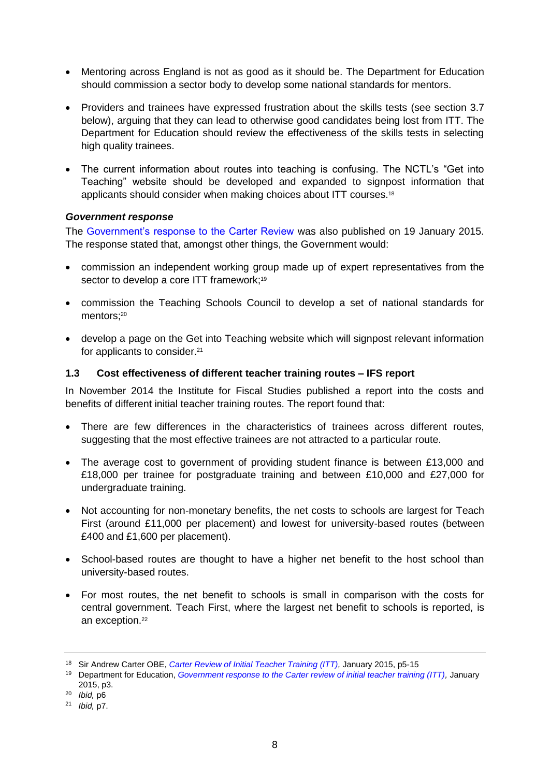- Mentoring across England is not as good as it should be. The Department for Education should commission a sector body to develop some national standards for mentors.
- Providers and trainees have expressed frustration about the skills tests (see section 3.7 below), arguing that they can lead to otherwise good candidates being lost from ITT. The Department for Education should review the effectiveness of the skills tests in selecting high quality trainees.
- The current information about routes into teaching is confusing. The NCTL's "Get into Teaching" website should be developed and expanded to signpost information that applicants should consider when making choices about ITT courses. 18

#### <span id="page-7-0"></span>*Government response*

The [Government's response to the Carter Review](https://www.gov.uk/government/news/new-headteacher-standards-and-review-of-itt-published) was also published on 19 January 2015. The response stated that, amongst other things, the Government would:

- commission an independent working group made up of expert representatives from the sector to develop a core ITT framework;<sup>19</sup>
- commission the Teaching Schools Council to develop a set of national standards for mentors; 20
- develop a page on the Get into Teaching website which will signpost relevant information for applicants to consider. 21

#### <span id="page-7-1"></span>**1.3 Cost effectiveness of different teacher training routes – IFS report**

In November 2014 the Institute for Fiscal Studies published a report into the costs and benefits of different initial teacher training routes. The report found that:

- There are few differences in the characteristics of trainees across different routes, suggesting that the most effective trainees are not attracted to a particular route.
- The average cost to government of providing student finance is between £13,000 and £18,000 per trainee for postgraduate training and between £10,000 and £27,000 for undergraduate training.
- Not accounting for non-monetary benefits, the net costs to schools are largest for Teach First (around £11,000 per placement) and lowest for university-based routes (between £400 and £1,600 per placement).
- School-based routes are thought to have a higher net benefit to the host school than university-based routes.
- For most routes, the net benefit to schools is small in comparison with the costs for central government. Teach First, where the largest net benefit to schools is reported, is an exception.<sup>22</sup>

<sup>18</sup> Sir Andrew Carter OBE, *[Carter Review of Initial Teacher Training \(ITT\),](https://www.gov.uk/government/uploads/system/uploads/attachment_data/file/396391/Carter_Review_16012015.pdf)* January 2015, p5-15

<sup>19</sup> Department for Education, *[Government response to the Carter review of initial teacher training \(ITT\),](https://www.gov.uk/government/uploads/system/uploads/attachment_data/file/396461/Carter_Review_Government_response_20150119.pdf)* January 2015, p3.

<sup>20</sup> *Ibid,* p6

<sup>21</sup> *Ibid,* p7.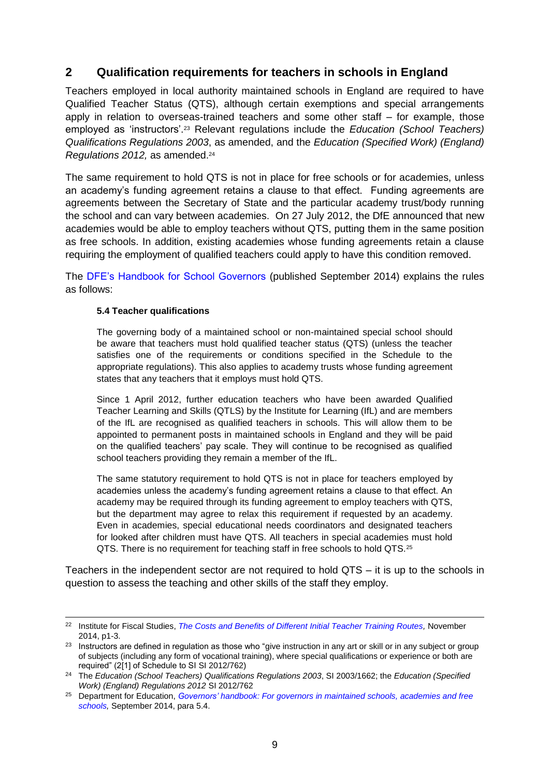## <span id="page-8-0"></span>**2 Qualification requirements for teachers in schools in England**

Teachers employed in local authority maintained schools in England are required to have Qualified Teacher Status (QTS), although certain exemptions and special arrangements apply in relation to overseas-trained teachers and some other staff – for example, those employed as 'instructors'.<sup>23</sup> Relevant regulations include the *Education (School Teachers) Qualifications Regulations 2003*, as amended, and the *Education (Specified Work) (England) Regulations 2012,* as amended. 24

The same requirement to hold QTS is not in place for free schools or for academies, unless an academy's funding agreement retains a clause to that effect. Funding agreements are agreements between the Secretary of State and the particular academy trust/body running the school and can vary between academies. On 27 July 2012, the DfE announced that new academies would be able to employ teachers without QTS, putting them in the same position as free schools. In addition, existing academies whose funding agreements retain a clause requiring the employment of qualified teachers could apply to have this condition removed.

The [DFE's Handbook for School Governors](https://www.gov.uk/government/uploads/system/uploads/attachment_data/file/352752/Governors_Handbook_2014.pdf) (published September 2014) explains the rules as follows:

#### **5.4 Teacher qualifications**

The governing body of a maintained school or non-maintained special school should be aware that teachers must hold qualified teacher status (QTS) (unless the teacher satisfies one of the requirements or conditions specified in the Schedule to the appropriate regulations). This also applies to academy trusts whose funding agreement states that any teachers that it employs must hold QTS.

Since 1 April 2012, further education teachers who have been awarded Qualified Teacher Learning and Skills (QTLS) by the Institute for Learning (IfL) and are members of the IfL are recognised as qualified teachers in schools. This will allow them to be appointed to permanent posts in maintained schools in England and they will be paid on the qualified teachers' pay scale. They will continue to be recognised as qualified school teachers providing they remain a member of the IfL.

The same statutory requirement to hold QTS is not in place for teachers employed by academies unless the academy's funding agreement retains a clause to that effect. An academy may be required through its funding agreement to employ teachers with QTS, but the department may agree to relax this requirement if requested by an academy. Even in academies, special educational needs coordinators and designated teachers for looked after children must have QTS. All teachers in special academies must hold QTS. There is no requirement for teaching staff in free schools to hold QTS.<sup>25</sup>

Teachers in the independent sector are not required to hold QTS – it is up to the schools in question to assess the teaching and other skills of the staff they employ.

 $\overline{a}$ <sup>22</sup> Institute for Fiscal Studies, *[The Costs and Benefits of Different Initial Teacher Training Routes,](http://www.ifs.org.uk/uploads/publications/comms/r100.pdf)* November 2014, p1-3.

<sup>&</sup>lt;sup>23</sup> Instructors are defined in regulation as those who "give instruction in any art or skill or in any subject or group of subjects (including any form of vocational training), where special qualifications or experience or both are required" (2[1] of Schedule to SI SI 2012/762)

<sup>24</sup> The *Education (School Teachers) Qualifications Regulations 2003*, SI 2003/1662; the *Education (Specified Work) (England) Regulations 2012* SI 2012/762

<sup>25</sup> Department for Education, *[Governors' handbook: For governors in maintained schools, academies and free](https://www.gov.uk/government/uploads/system/uploads/attachment_data/file/352752/Governors_Handbook_2014.pdf)  [schools,](https://www.gov.uk/government/uploads/system/uploads/attachment_data/file/352752/Governors_Handbook_2014.pdf)* September 2014, para 5.4.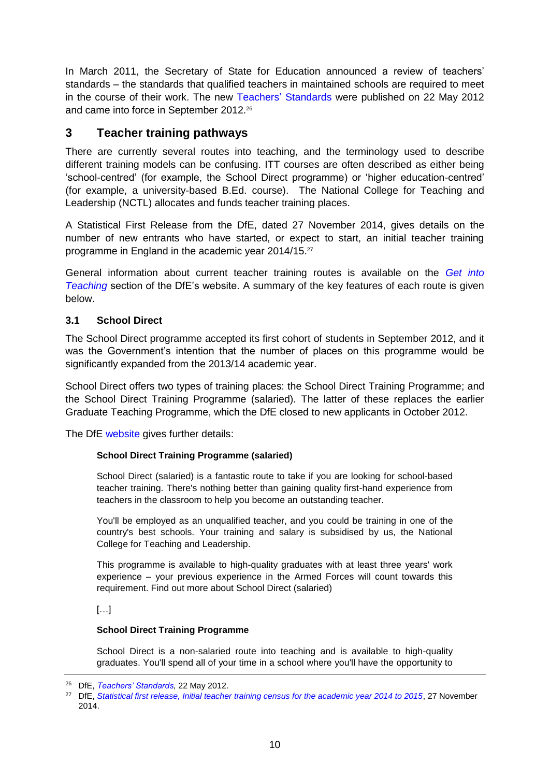In March 2011, the Secretary of State for Education announced a review of teachers' standards – the standards that qualified teachers in maintained schools are required to meet in the course of their work. The new [Teachers'](https://www.gov.uk/government/publications/teachers-standards) Standards were published on 22 May 2012 and came into force in September 2012.<sup>26</sup>

## <span id="page-9-0"></span>**3 Teacher training pathways**

There are currently several routes into teaching, and the terminology used to describe different training models can be confusing. ITT courses are often described as either being 'school-centred' (for example, the School Direct programme) or 'higher education-centred' (for example, a university-based B.Ed. course). The National College for Teaching and Leadership (NCTL) allocates and funds teacher training places.

A Statistical First Release from the DfE, dated 27 November 2014, gives details on the number of new entrants who have started, or expect to start, an initial teacher training programme in England in the academic year 2014/15.<sup>27</sup>

General information about current teacher training routes is available on the *[Get into](http://www.education.gov.uk/get-into-teaching)  [Teaching](http://www.education.gov.uk/get-into-teaching)* section of the DfE's website. A summary of the key features of each route is given below.

## <span id="page-9-1"></span>**3.1 School Direct**

The School Direct programme accepted its first cohort of students in September 2012, and it was the Government's intention that the number of places on this programme would be significantly expanded from the 2013/14 academic year.

School Direct offers two types of training places: the School Direct Training Programme; and the School Direct Training Programme (salaried). The latter of these replaces the earlier Graduate Teaching Programme, which the DfE closed to new applicants in October 2012.

The DfE [website](http://www.education.gov.uk/get-into-teaching/teacher-training-options/school-based-training/school-direct.aspx) gives further details:

## **School Direct Training Programme (salaried)**

School Direct (salaried) is a fantastic route to take if you are looking for school-based teacher training. There's nothing better than gaining quality first-hand experience from teachers in the classroom to help you become an outstanding teacher.

You'll be employed as an unqualified teacher, and you could be training in one of the country's best schools. Your training and salary is subsidised by us, the National College for Teaching and Leadership.

This programme is available to high-quality graduates with at least three years' work experience – your previous experience in the Armed Forces will count towards this requirement. Find out more about School Direct (salaried)

[…]

#### **School Direct Training Programme**

School Direct is a non-salaried route into teaching and is available to high-quality graduates. You'll spend all of your time in a school where you'll have the opportunity to

<sup>26</sup> DfE, *[Teachers' Standards,](https://www.gov.uk/government/publications/teachers-standards)* 22 May 2012.

<sup>&</sup>lt;sup>27</sup> DfE, [Statistical first release, Initial teacher training census for the academic year 2014 to 2015](https://www.gov.uk/government/uploads/system/uploads/attachment_data/file/380175/ITT_CENSUS_2014-15_FINAL.pdf), 27 November 2014.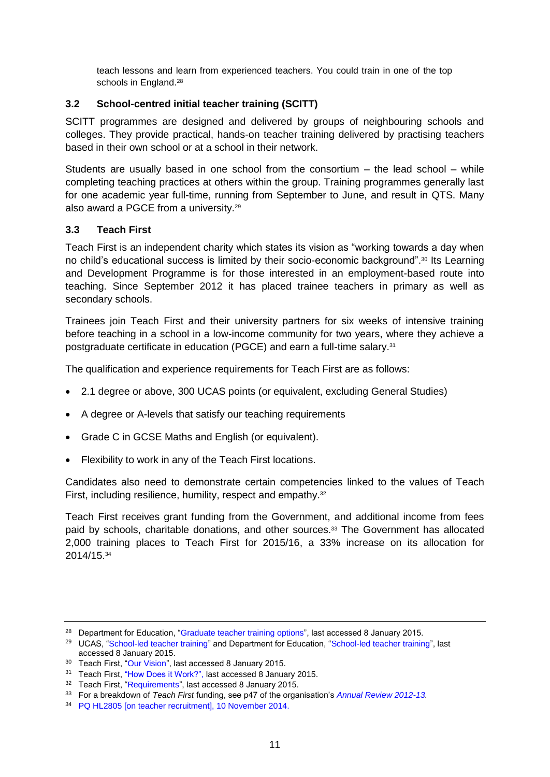teach lessons and learn from experienced teachers. You could train in one of the top schools in England.<sup>28</sup>

## <span id="page-10-0"></span>**3.2 School-centred initial teacher training (SCITT)**

SCITT programmes are designed and delivered by groups of neighbouring schools and colleges. They provide practical, hands-on teacher training delivered by practising teachers based in their own school or at a school in their network.

Students are usually based in one school from the consortium – the lead school – while completing teaching practices at others within the group. Training programmes generally last for one academic year full-time, running from September to June, and result in QTS. Many also award a PGCE from a university.<sup>29</sup>

## <span id="page-10-1"></span>**3.3 Teach First**

Teach First is an independent charity which states its vision as "working towards a day when no child's educational success is limited by their socio-economic background". <sup>30</sup> Its Learning and Development Programme is for those interested in an employment-based route into teaching. Since September 2012 it has placed trainee teachers in primary as well as secondary schools.

Trainees join Teach First and their university partners for six weeks of intensive training before teaching in a school in a low-income community for two years, where they achieve a postgraduate certificate in education (PGCE) and earn a full-time salary.<sup>31</sup>

The qualification and experience requirements for Teach First are as follows:

- 2.1 degree or above, 300 UCAS points (or equivalent, excluding General Studies)
- A degree or A-levels that satisfy our teaching requirements
- Grade C in GCSE Maths and English (or equivalent).
- Flexibility to work in any of the Teach First locations.

Candidates also need to demonstrate certain competencies linked to the values of Teach First, including resilience, humility, respect and empathy.<sup>32</sup>

Teach First receives grant funding from the Government, and additional income from fees paid by schools, charitable donations, and other sources.<sup>33</sup> The Government has allocated 2,000 training places to Teach First for 2015/16, a 33% increase on its allocation for 2014/15.<sup>34</sup>

<sup>&</sup>lt;sup>28</sup> Department for Education, ["Graduate teacher training options"](http://www.education.gov.uk/get-into-teaching/troops-to-teachers/routes-into-teaching/graduate-teacher-training), last accessed 8 January 2015.

<sup>&</sup>lt;sup>29</sup> UCAS, ["School-led teacher training"](http://www.education.gov.uk/get-into-teaching/teacher-training-options/school-based-training) and Department for Education, "School-led teacher training", last accessed 8 January 2015.

<sup>30</sup> Teach First, ["Our Vision"](http://www.teachfirst.org.uk/about/our-vision-mission-and-values), last accessed 8 January 2015.

<sup>31</sup> Teach First, ["How Does it Work?",](http://graduates.teachfirst.org.uk/sites/graduates.teachfirst.org.uk/files/LDP-Process.pdf) last accessed 8 January 2015.

<sup>&</sup>lt;sup>32</sup> Teach First, ["Requirements"](http://graduates.teachfirst.org.uk/application-selection/requirements), last accessed 8 January 2015.

<sup>33</sup> For a breakdown of *Teach First* funding, see p47 of the organisation's *[Annual Review 2012-13.](http://www.teachfirst.org.uk/annual-review-201213)*

<sup>34</sup> [PQ HL2805 \[on teacher recruitment\], 10 November 2014.](http://www.parliament.uk/written-questions-answers-statements/written-question/lords/2014-11-10/HL2805)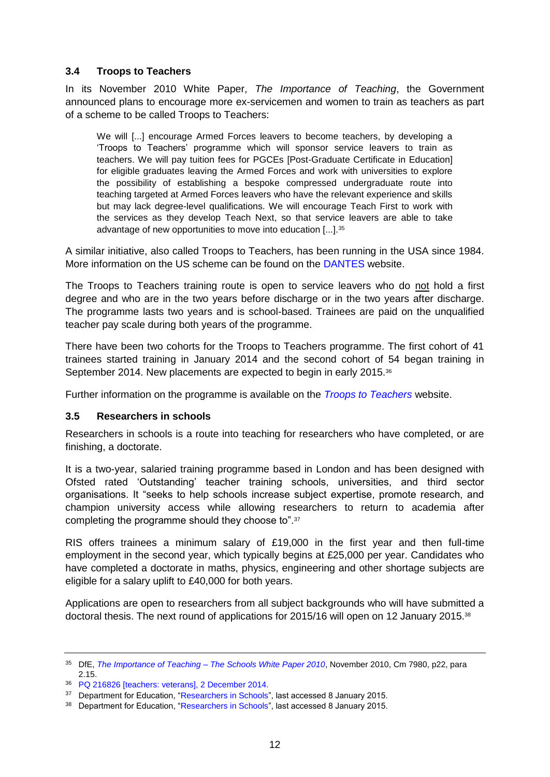## <span id="page-11-0"></span>**3.4 Troops to Teachers**

In its November 2010 White Paper, *The Importance of Teaching*, the Government announced plans to encourage more ex-servicemen and women to train as teachers as part of a scheme to be called Troops to Teachers:

We will [...] encourage Armed Forces leavers to become teachers, by developing a 'Troops to Teachers' programme which will sponsor service leavers to train as teachers. We will pay tuition fees for PGCEs [Post-Graduate Certificate in Education] for eligible graduates leaving the Armed Forces and work with universities to explore the possibility of establishing a bespoke compressed undergraduate route into teaching targeted at Armed Forces leavers who have the relevant experience and skills but may lack degree-level qualifications. We will encourage Teach First to work with the services as they develop Teach Next, so that service leavers are able to take advantage of new opportunities to move into education [...].<sup>35</sup>

A similar initiative, also called Troops to Teachers, has been running in the USA since 1984. More information on the US scheme can be found on the [DANTES](http://www.dantes.doded.mil/Programs/TTT.html) website.

The Troops to Teachers training route is open to service leavers who do not hold a first degree and who are in the two years before discharge or in the two years after discharge. The programme lasts two years and is school-based. Trainees are paid on the unqualified teacher pay scale during both years of the programme.

There have been two cohorts for the Troops to Teachers programme. The first cohort of 41 trainees started training in January 2014 and the second cohort of 54 began training in September 2014. New placements are expected to begin in early 2015.<sup>36</sup>

Further information on the programme is available on the *[Troops to Teachers](https://troopstoteachers.ctp.org.uk/)* website.

#### <span id="page-11-1"></span>**3.5 Researchers in schools**

Researchers in schools is a route into teaching for researchers who have completed, or are finishing, a doctorate.

It is a two-year, salaried training programme based in London and has been designed with Ofsted rated 'Outstanding' teacher training schools, universities, and third sector organisations. It "seeks to help schools increase subject expertise, promote research, and champion university access while allowing researchers to return to academia after completing the programme should they choose to".<sup>37</sup>

RIS offers trainees a minimum salary of £19,000 in the first year and then full-time employment in the second year, which typically begins at £25,000 per year. Candidates who have completed a doctorate in maths, physics, engineering and other shortage subjects are eligible for a salary uplift to £40,000 for both years.

Applications are open to researchers from all subject backgrounds who will have submitted a doctoral thesis. The next round of applications for 2015/16 will open on 12 January 2015.<sup>38</sup>

<sup>35</sup> DfE, *The Importance of Teaching – [The Schools White Paper 2010](https://www.education.gov.uk/publications/eOrderingDownload/CM-7980.pdf)*, November 2010, Cm 7980, p22, para 2.15.

<sup>36</sup> [PQ 216826 \[teachers: veterans\], 2 December 2014.](http://www.parliament.uk/written-questions-answers-statements/written-question/commons/2014-12-02/216826)

<sup>&</sup>lt;sup>37</sup> Department for Education, ["Researchers in Schools"](http://www.education.gov.uk/get-into-teaching/teacher-training-options/school-based-training/researchers-in-schools), last accessed 8 January 2015.

<sup>38</sup> Department for Education, ["Researchers in Schools"](http://www.education.gov.uk/get-into-teaching/teacher-training-options/school-based-training/researchers-in-schools), last accessed 8 January 2015.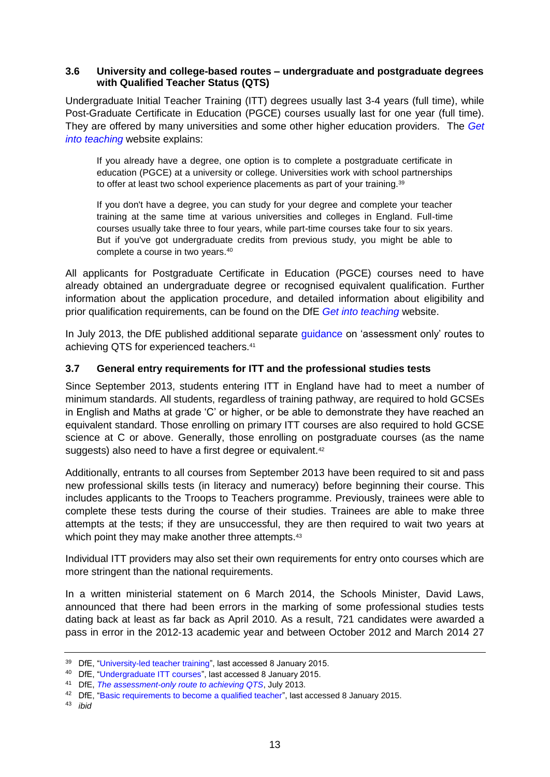#### <span id="page-12-0"></span>**3.6 University and college-based routes – undergraduate and postgraduate degrees with Qualified Teacher Status (QTS)**

Undergraduate Initial Teacher Training (ITT) degrees usually last 3-4 years (full time), while Post-Graduate Certificate in Education (PGCE) courses usually last for one year (full time). They are offered by many universities and some other higher education providers. The *[Get](http://www.education.gov.uk/get-into-teaching)  [into teaching](http://www.education.gov.uk/get-into-teaching)* website explains:

If you already have a degree, one option is to complete a postgraduate certificate in education (PGCE) at a university or college. Universities work with school partnerships to offer at least two school experience placements as part of your training.<sup>39</sup>

If you don't have a degree, you can study for your degree and complete your teacher training at the same time at various universities and colleges in England. Full-time courses usually take three to four years, while part-time courses take four to six years. But if you've got undergraduate credits from previous study, you might be able to complete a course in two years.<sup>40</sup>

All applicants for Postgraduate Certificate in Education (PGCE) courses need to have already obtained an undergraduate degree or recognised equivalent qualification. Further information about the application procedure, and detailed information about eligibility and prior qualification requirements, can be found on the DfE *[Get into teaching](http://www.education.gov.uk/get-into-teaching)* website.

In July 2013, the DfE published additional separate [guidance](https://www.gov.uk/government/uploads/system/uploads/attachment_data/file/227315/Assessment-only-route-to-qts.pdf) on 'assessment only' routes to achieving QTS for experienced teachers.<sup>41</sup>

## <span id="page-12-1"></span>**3.7 General entry requirements for ITT and the professional studies tests**

Since September 2013, students entering ITT in England have had to meet a number of minimum standards. All students, regardless of training pathway, are required to hold GCSEs in English and Maths at grade 'C' or higher, or be able to demonstrate they have reached an equivalent standard. Those enrolling on primary ITT courses are also required to hold GCSE science at C or above. Generally, those enrolling on postgraduate courses (as the name suggests) also need to have a first degree or equivalent.<sup>42</sup>

Additionally, entrants to all courses from September 2013 have been required to sit and pass new professional skills tests (in literacy and numeracy) before beginning their course. This includes applicants to the Troops to Teachers programme. Previously, trainees were able to complete these tests during the course of their studies. Trainees are able to make three attempts at the tests; if they are unsuccessful, they are then required to wait two years at which point they may make another three attempts.<sup>43</sup>

Individual ITT providers may also set their own requirements for entry onto courses which are more stringent than the national requirements.

In a written ministerial statement on 6 March 2014, the Schools Minister, David Laws, announced that there had been errors in the marking of some professional studies tests dating back at least as far back as April 2010. As a result, 721 candidates were awarded a pass in error in the 2012-13 academic year and between October 2012 and March 2014 27

<sup>39</sup> DfE, ["University-led teacher training"](http://www.education.gov.uk/get-into-teaching/teacher-training-options/university-based-training), last accessed 8 January 2015.

<sup>40</sup> DfE, ["Undergraduate ITT courses"](http://www.education.gov.uk/get-into-teaching/teacher-training-options/university-based-training/undergraduate-itt), last accessed 8 January 2015.

<sup>41</sup> DfE, *[The assessment-only route to achieving QTS](https://www.gov.uk/government/uploads/system/uploads/attachment_data/file/227315/Assessment-only-route-to-qts.pdf)*, July 2013.

<sup>42</sup> DfE, ["Basic requirements to become a qualified teacher"](http://www.education.gov.uk/get-into-teaching/apply-for-teacher-training/basic-requirements?keywords=entry+requirements), last accessed 8 January 2015.

<sup>43</sup> *ibid*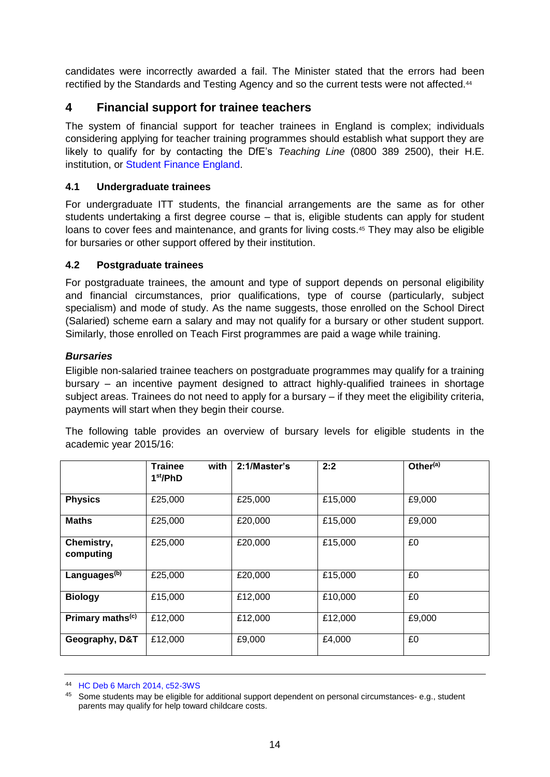candidates were incorrectly awarded a fail. The Minister stated that the errors had been rectified by the Standards and Testing Agency and so the current tests were not affected.<sup>44</sup>

## <span id="page-13-0"></span>**4 Financial support for trainee teachers**

The system of financial support for teacher trainees in England is complex; individuals considering applying for teacher training programmes should establish what support they are likely to qualify for by contacting the DfE's *Teaching Line* (0800 389 2500), their H.E. institution, or [Student Finance England.](https://www.gov.uk/contact-student-finance-england)

## <span id="page-13-1"></span>**4.1 Undergraduate trainees**

For undergraduate ITT students, the financial arrangements are the same as for other students undertaking a first degree course – that is, eligible students can apply for student loans to cover fees and maintenance, and grants for living costs.<sup>45</sup> They may also be eligible for bursaries or other support offered by their institution.

## <span id="page-13-2"></span>**4.2 Postgraduate trainees**

For postgraduate trainees, the amount and type of support depends on personal eligibility and financial circumstances, prior qualifications, type of course (particularly, subject specialism) and mode of study. As the name suggests, those enrolled on the School Direct (Salaried) scheme earn a salary and may not qualify for a bursary or other student support. Similarly, those enrolled on Teach First programmes are paid a wage while training.

## <span id="page-13-3"></span>*Bursaries*

Eligible non-salaried trainee teachers on postgraduate programmes may qualify for a training bursary – an incentive payment designed to attract highly-qualified trainees in shortage subject areas. Trainees do not need to apply for a bursary – if they meet the eligibility criteria, payments will start when they begin their course.

The following table provides an overview of bursary levels for eligible students in the academic year 2015/16:

|                              | <b>Trainee</b><br>with<br>1 <sup>st</sup> /PhD | 2:1/Master's | 2:2     | Other $\overline{^{(a)}}$ |
|------------------------------|------------------------------------------------|--------------|---------|---------------------------|
| <b>Physics</b>               | £25,000                                        | £25,000      | £15,000 | £9,000                    |
| <b>Maths</b>                 | £25,000                                        | £20,000      | £15,000 | £9,000                    |
| Chemistry,<br>computing      | £25,000                                        | £20,000      | £15,000 | £0                        |
| Languages <sup>(b)</sup>     | £25,000                                        | £20,000      | £15,000 | £0                        |
| <b>Biology</b>               | £15,000                                        | £12,000      | £10,000 | £0                        |
| Primary maths <sup>(c)</sup> | £12,000                                        | £12,000      | £12,000 | £9,000                    |
| Geography, D&T               | £12,000                                        | £9,000       | £4,000  | £0                        |

<sup>44</sup> [HC Deb 6 March 2014, c52-3WS](http://www.publications.parliament.uk/pa/cm201314/cmhansrd/cm140306/wmstext/140306m0001.htm#14030653000004)

<sup>45</sup> Some students may be eligible for additional support dependent on personal circumstances- e.g., student parents may qualify for help toward childcare costs.